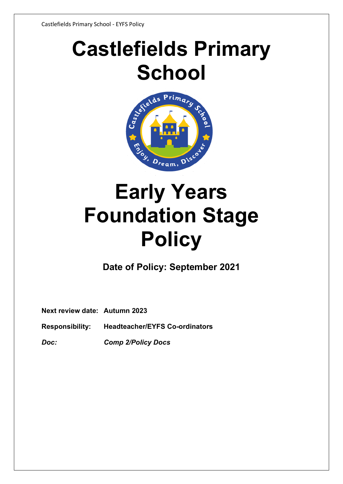# **Castlefields Primary**



# **Early Years Foundation Stage Policy**

**Date of Policy: September 2021**

**Next review date: Autumn 2023**

**Responsibility: Headteacher/EYFS Co-ordinators**

*Doc: Comp 2/Policy Docs*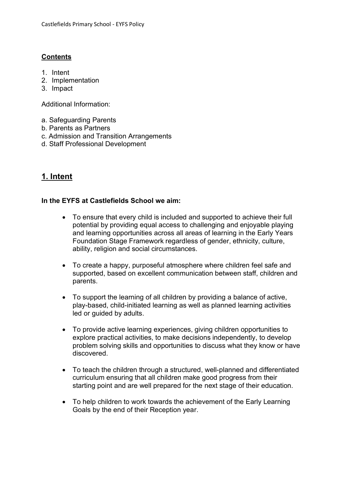### **Contents**

- 1. Intent
- 2. Implementation
- 3. Impact

Additional Information:

- a. Safeguarding Parents
- b. Parents as Partners
- c. Admission and Transition Arrangements
- d. Staff Professional Development

# **1. Intent**

#### **In the EYFS at Castlefields School we aim:**

- To ensure that every child is included and supported to achieve their full potential by providing equal access to challenging and enjoyable playing and learning opportunities across all areas of learning in the Early Years Foundation Stage Framework regardless of gender, ethnicity, culture, ability, religion and social circumstances.
- To create a happy, purposeful atmosphere where children feel safe and supported, based on excellent communication between staff, children and parents.
- To support the learning of all children by providing a balance of active, play-based, child-initiated learning as well as planned learning activities led or guided by adults.
- To provide active learning experiences, giving children opportunities to explore practical activities, to make decisions independently, to develop problem solving skills and opportunities to discuss what they know or have discovered.
- To teach the children through a structured, well-planned and differentiated curriculum ensuring that all children make good progress from their starting point and are well prepared for the next stage of their education.
- To help children to work towards the achievement of the Early Learning Goals by the end of their Reception year.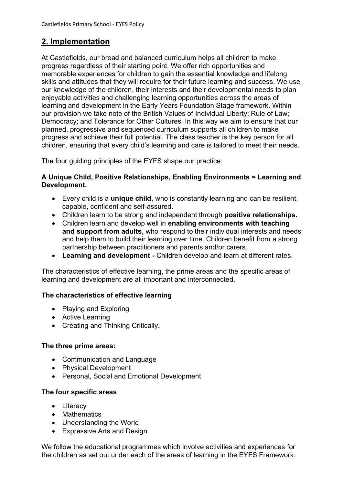# **2. Implementation**

At Castlefields, our broad and balanced curriculum helps all children to make progress regardless of their starting point. We offer rich opportunities and memorable experiences for children to gain the essential knowledge and lifelong skills and attitudes that they will require for their future learning and success. We use our knowledge of the children, their interests and their developmental needs to plan enjoyable activities and challenging learning opportunities across the areas of learning and development in the Early Years Foundation Stage framework. Within our provision we take note of the British Values of Individual Liberty; Rule of Law; Democracy; and Tolerance for Other Cultures. In this way we aim to ensure that our planned, progressive and sequenced curriculum supports all children to make progress and achieve their full potential. The class teacher is the key person for all children, ensuring that every child's learning and care is tailored to meet their needs.

The four quiding principles of the EYFS shape our practice:

#### **A Unique Child, Positive Relationships, Enabling Environments = Learning and Development.**

- Every child is a **unique child,** who is constantly learning and can be resilient, capable, confident and self-assured.
- Children learn to be strong and independent through **positive relationships.**
- Children learn and develop well in **enabling environments with teaching and support from adults,** who respond to their individual interests and needs and help them to build their learning over time. Children benefit from a strong partnership between practitioners and parents and/or carers.
- **Learning and development -** Children develop and learn at different rates.

The characteristics of effective learning, the prime areas and the specific areas of learning and development are all important and interconnected.

#### **The characteristics of effective learning**

- Playing and Exploring
- Active Learning
- Creating and Thinking Critically**.**

#### **The three prime areas:**

- Communication and Language
- Physical Development
- Personal, Social and Emotional Development

#### **The four specific areas**

- Literacy
- Mathematics
- Understanding the World
- Expressive Arts and Design

We follow the educational programmes which involve activities and experiences for the children as set out under each of the areas of learning in the EYFS Framework.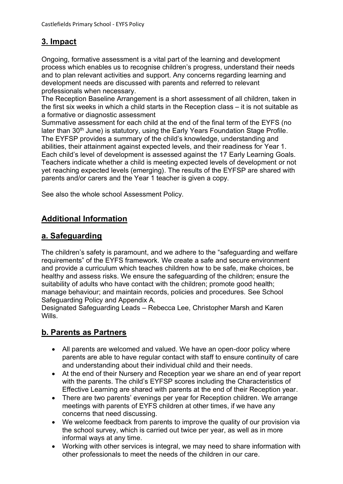# **3. Impact**

Ongoing, formative assessment is a vital part of the learning and development process which enables us to recognise children's progress, understand their needs and to plan relevant activities and support. Any concerns regarding learning and development needs are discussed with parents and referred to relevant professionals when necessary.

The Reception Baseline Arrangement is a short assessment of all children, taken in the first six weeks in which a child starts in the Reception class – it is not suitable as a formative or diagnostic assessment

Summative assessment for each child at the end of the final term of the EYFS (no later than 30<sup>th</sup> June) is statutory, using the Early Years Foundation Stage Profile. The EYFSP provides a summary of the child's knowledge, understanding and abilities, their attainment against expected levels, and their readiness for Year 1. Each child's level of development is assessed against the 17 Early Learning Goals. Teachers indicate whether a child is meeting expected levels of development or not yet reaching expected levels (emerging). The results of the EYFSP are shared with parents and/or carers and the Year 1 teacher is given a copy.

See also the whole school Assessment Policy.

# **Additional Information**

# **a. Safeguarding**

The children's safety is paramount, and we adhere to the "safeguarding and welfare requirements" of the EYFS framework. We create a safe and secure environment and provide a curriculum which teaches children how to be safe, make choices, be healthy and assess risks. We ensure the safeguarding of the children; ensure the suitability of adults who have contact with the children; promote good health; manage behaviour; and maintain records, policies and procedures. See School Safeguarding Policy and Appendix A.

Designated Safeguarding Leads – Rebecca Lee, Christopher Marsh and Karen Wills.

# **b. Parents as Partners**

- All parents are welcomed and valued. We have an open-door policy where parents are able to have regular contact with staff to ensure continuity of care and understanding about their individual child and their needs.
- At the end of their Nursery and Reception year we share an end of year report with the parents. The child's EYFSP scores including the Characteristics of Effective Learning are shared with parents at the end of their Reception year.
- There are two parents' evenings per year for Reception children. We arrange meetings with parents of EYFS children at other times, if we have any concerns that need discussing.
- We welcome feedback from parents to improve the quality of our provision via the school survey, which is carried out twice per year, as well as in more informal ways at any time.
- Working with other services is integral, we may need to share information with other professionals to meet the needs of the children in our care.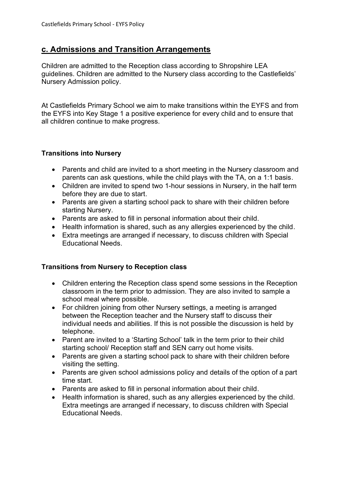## **c. Admissions and Transition Arrangements**

Children are admitted to the Reception class according to Shropshire LEA guidelines. Children are admitted to the Nursery class according to the Castlefields' Nursery Admission policy.

At Castlefields Primary School we aim to make transitions within the EYFS and from the EYFS into Key Stage 1 a positive experience for every child and to ensure that all children continue to make progress.

#### **Transitions into Nursery**

- Parents and child are invited to a short meeting in the Nursery classroom and parents can ask questions, while the child plays with the TA, on a 1:1 basis.
- Children are invited to spend two 1-hour sessions in Nursery, in the half term before they are due to start.
- Parents are given a starting school pack to share with their children before starting Nursery.
- Parents are asked to fill in personal information about their child.
- Health information is shared, such as any allergies experienced by the child.
- Extra meetings are arranged if necessary, to discuss children with Special Educational Needs.

#### **Transitions from Nursery to Reception class**

- Children entering the Reception class spend some sessions in the Reception classroom in the term prior to admission. They are also invited to sample a school meal where possible.
- For children joining from other Nursery settings, a meeting is arranged between the Reception teacher and the Nursery staff to discuss their individual needs and abilities. If this is not possible the discussion is held by telephone.
- Parent are invited to a 'Starting School' talk in the term prior to their child starting school/ Reception staff and SEN carry out home visits.
- Parents are given a starting school pack to share with their children before visiting the setting.
- Parents are given school admissions policy and details of the option of a part time start.
- Parents are asked to fill in personal information about their child.
- Health information is shared, such as any allergies experienced by the child. Extra meetings are arranged if necessary, to discuss children with Special Educational Needs.